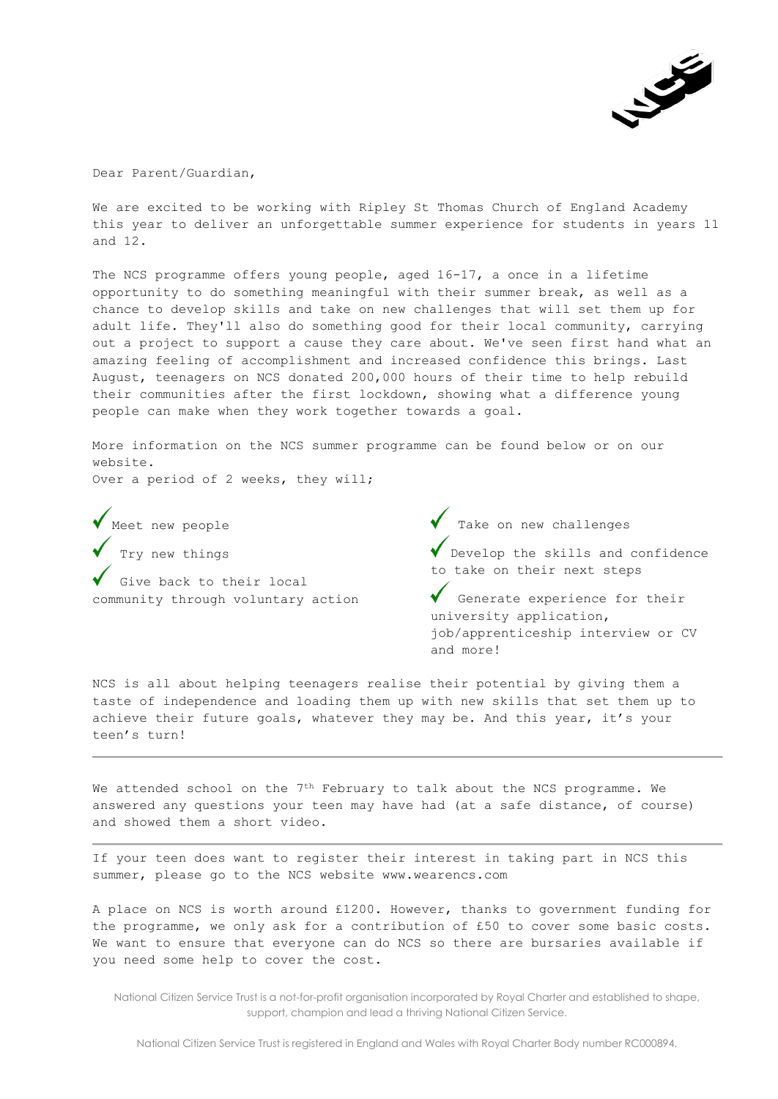

Dear Parent/Guardian,

We are excited to be working with Ripley St Thomas Church of England Academy this year to deliver an unforgettable summer experience for students in years 11 and 12.

The NCS programme offers young people, aged 16-17, a once in a lifetime opportunity to do something meaningful with their summer break, as well as a chance to develop skills and take on new challenges that will set them up for adult life. They'll also do something good for their local community, carrying out a project to support a cause they care about. We've seen first hand what an amazing feeling of accomplishment and increased confidence this brings. Last August, teenagers on NCS donated 200,000 hours of their time to help rebuild their communities after the first lockdown, showing what a difference young people can make when they work together towards a goal.

More information on the NCS summer programme can be found below or on our website.

Over a period of 2 weeks, they will;

Meet new people Try new things Give back to their local community through voluntary action Take on new challenges

Develop the skills and confidence to take on their next steps

Generate experience for their university application, job/apprenticeship interview or CV and more!

NCS is all about helping teenagers realise their potential by giving them a taste of independence and loading them up with new skills that set them up to achieve their future goals, whatever they may be. And this year, it's your teen's turn!

We attended school on the 7<sup>th</sup> February to talk about the NCS programme. We answered any questions your teen may have had (at a safe distance, of course) and showed them a short video.

If your teen does want to register their interest in taking part in NCS this summer, please go to the NCS website www.wearencs.com

A place on NCS is worth around £1200. However, thanks to government funding for the programme, we only ask for a contribution of £50 to cover some basic costs. We want to ensure that everyone can do NCS so there are bursaries available if you need some help to cover the cost.

National Citizen Service Trust is a not-for-profit organisation incorporated by Royal Charter and established to shape, support, champion and lead a thriving National Citizen Service.

National Citizen Service Trust is registered in England and Wales with Royal Charter Body number RC000894.